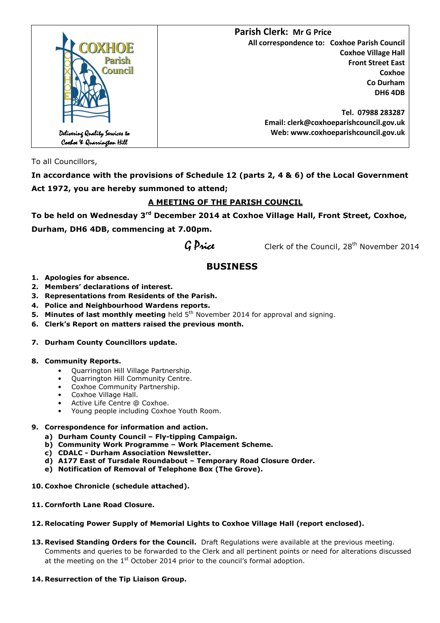

To all Councillors,

**In accordance with the provisions of Schedule 12 (parts 2, 4 & 6) of the Local Government Act 1972, you are hereby summoned to attend;** 

# **A MEETING OF THE PARISH COUNCIL**

**To be held on Wednesday 3rd December 2014 at Coxhoe Village Hall, Front Street, Coxhoe, Durham, DH6 4DB, commencing at 7.00pm.** 

 $G$  *Price* Clerk of the Council,  $28^{th}$  November 2014

# **BUSINESS**

- **1. Apologies for absence.**
- **2. Members' declarations of interest.**
- **3. Representations from Residents of the Parish.**
- **4. Police and Neighbourhood Wardens reports.**
- **5. Minutes of last monthly meeting** held 5<sup>th</sup> November 2014 for approval and signing.
- **6. Clerk's Report on matters raised the previous month.**

# **7. Durham County Councillors update.**

# **8. Community Reports.**

- Quarrington Hill Village Partnership.
- Quarrington Hill Community Centre.
- Coxhoe Community Partnership.
- Coxhoe Village Hall.
- Active Life Centre @ Coxhoe.
- Young people including Coxhoe Youth Room.

# **9. Correspondence for information and action.**

- **a) Durham County Council Fly-tipping Campaign.**
- **b) Community Work Programme Work Placement Scheme.**
- **c) CDALC Durham Association Newsletter.**
- **d) A177 East of Tursdale Roundabout Temporary Road Closure Order.**
- **e) Notification of Removal of Telephone Box (The Grove).**
- **10. Coxhoe Chronicle (schedule attached).**
- **11. Cornforth Lane Road Closure.**

# **12. Relocating Power Supply of Memorial Lights to Coxhoe Village Hall (report enclosed).**

- **13. Revised Standing Orders for the Council.** Draft Regulations were available at the previous meeting. Comments and queries to be forwarded to the Clerk and all pertinent points or need for alterations discussed at the meeting on the  $1<sup>st</sup>$  October 2014 prior to the council's formal adoption.
- **14. Resurrection of the Tip Liaison Group.**